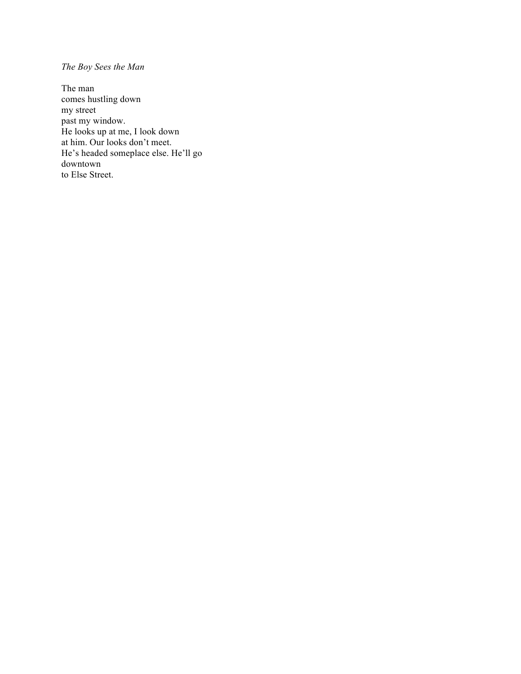## *The Boy Sees the Man*

The man comes hustling down my street past my window. He looks up at me, I look down at him. Our looks don't meet. He's headed someplace else. He'll go downtown to Else Street.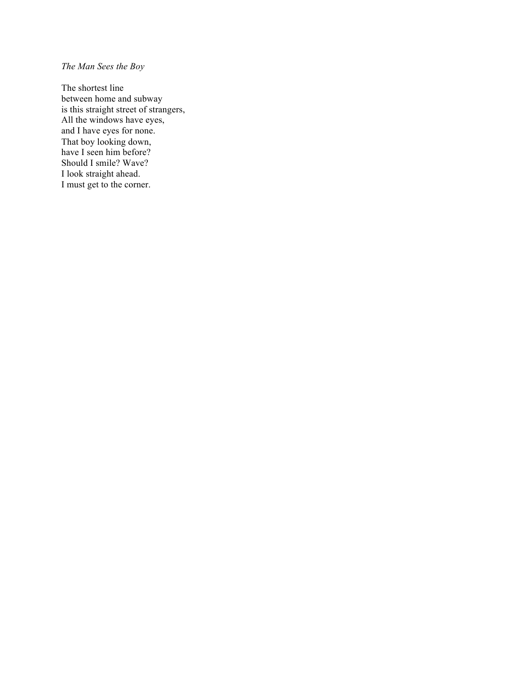## *The Man Sees the Boy*

The shortest line between home and subway is this straight street of strangers, All the windows have eyes, and I have eyes for none. That boy looking down, have I seen him before? Should I smile? Wave? I look straight ahead. I must get to the corner.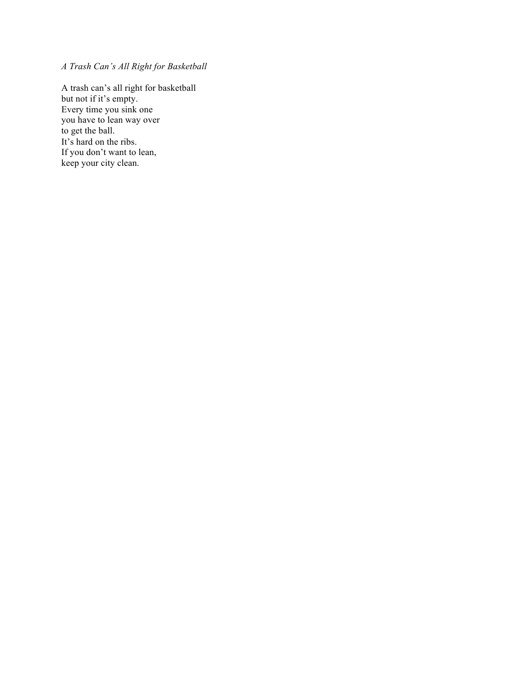*A Trash Can's All Right for Basketball*

A trash can's all right for basketball but not if it's empty. Every time you sink one you have to lean way over to get the ball. It's hard on the ribs. If you don't want to lean, keep your city clean.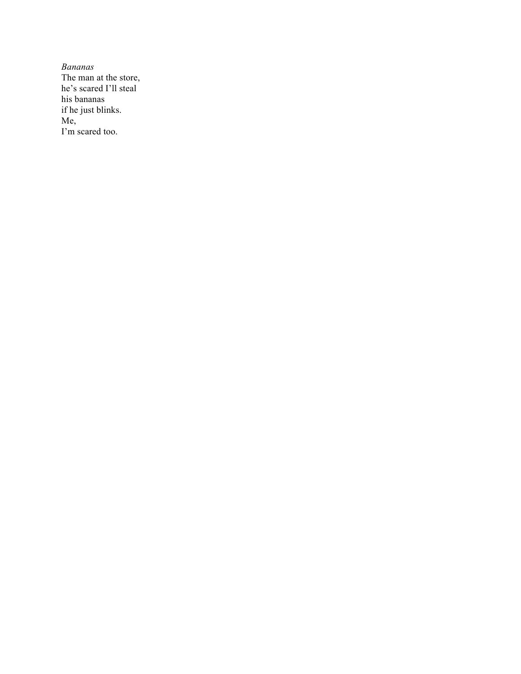*Bananas* The man at the store, he's scared I'll steal his bananas if he just blinks. Me, I'm scared too.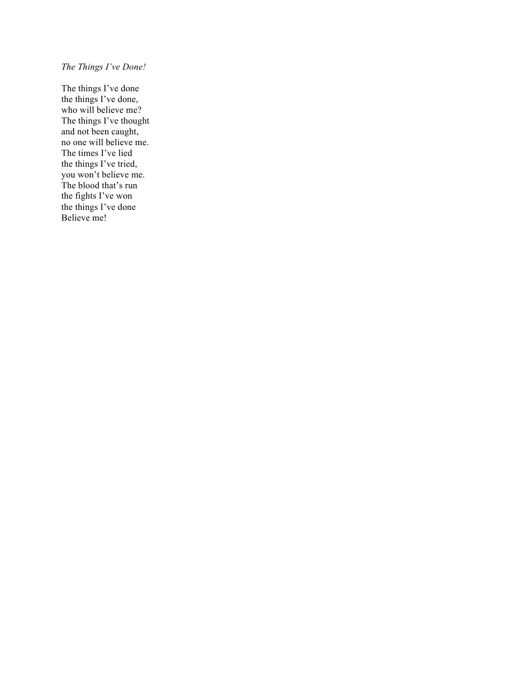## *The Things I've Done!*

The things I've done the things I've done, who will believe me? The things I've thought and not been caught, no one will believe me. The times I've lied the things I've tried, you won't believe me. The blood that's run the fights I've won the things I've done Believe me!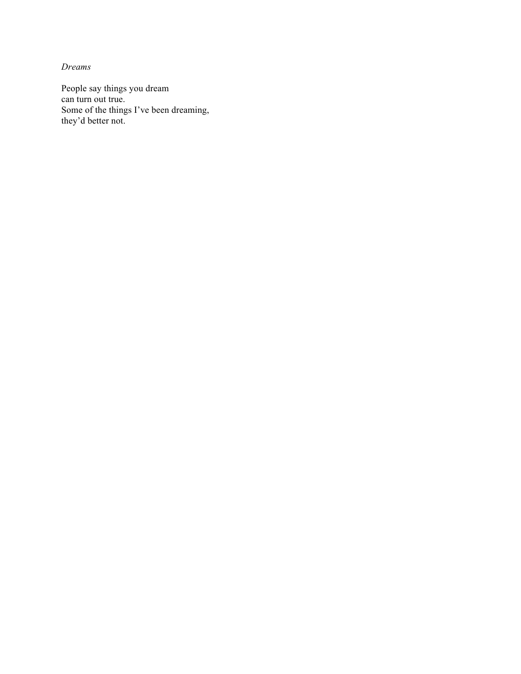*Dreams*

People say things you dream can turn out true. Some of the things I've been dreaming, they'd better not.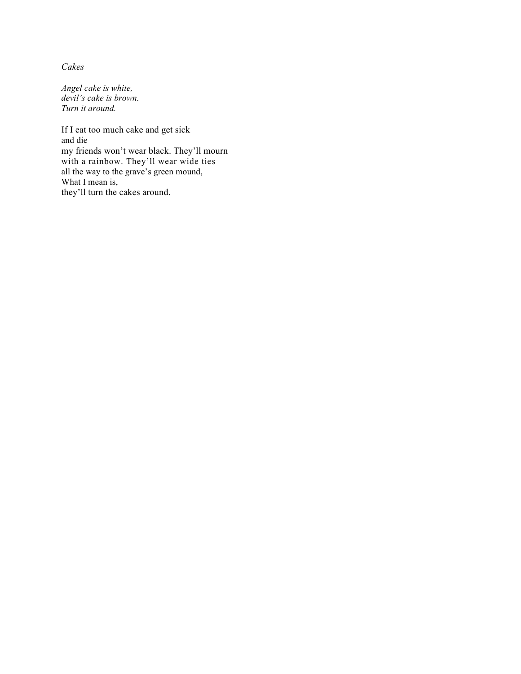*Cakes*

*Angel cake is white, devil's cake is brown. Turn it around.*

If I eat too much cake and get sick and die my friends won't wear black. They'll mourn with a rainbow. They'll wear wide ties all the way to the grave's green mound, What I mean is, they'll turn the cakes around.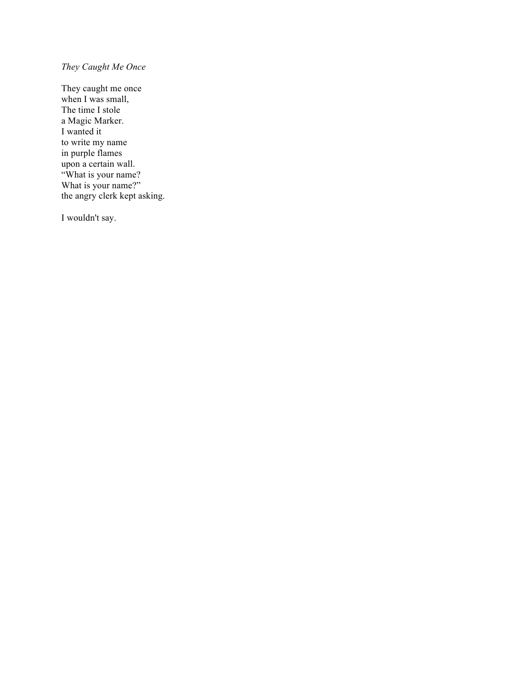## *They Caught Me Once*

They caught me once when I was small, The time I stole a Magic Marker. I wanted it to write my name in purple flames upon a certain wall. "What is your name? What is your name?" the angry clerk kept asking.

I wouldn't say.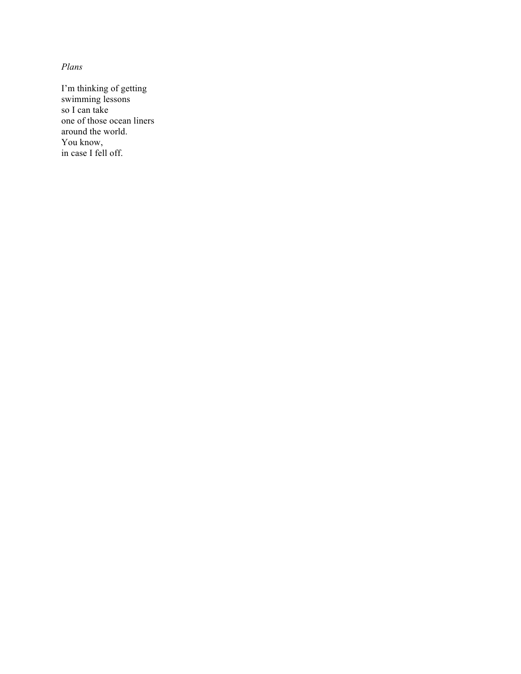*Plans*

I'm thinking of getting swimming lessons so I can take one of those ocean liners around the world. You know, in case I fell off.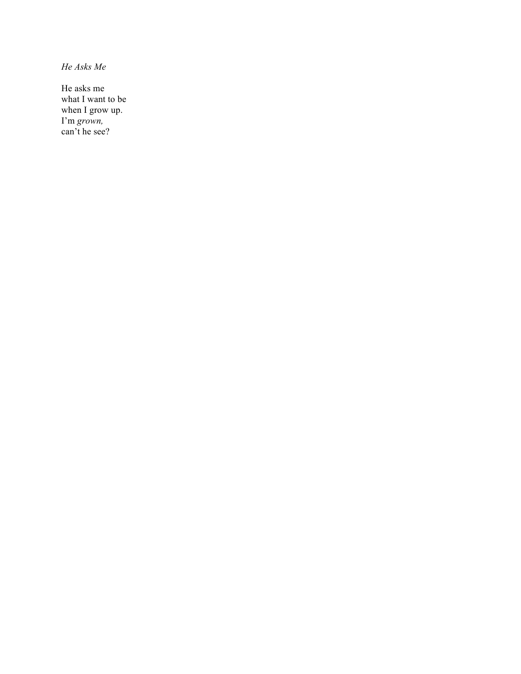*He Asks Me*

He asks me what I want to be when I grow up. I'm *grown,* can't he see?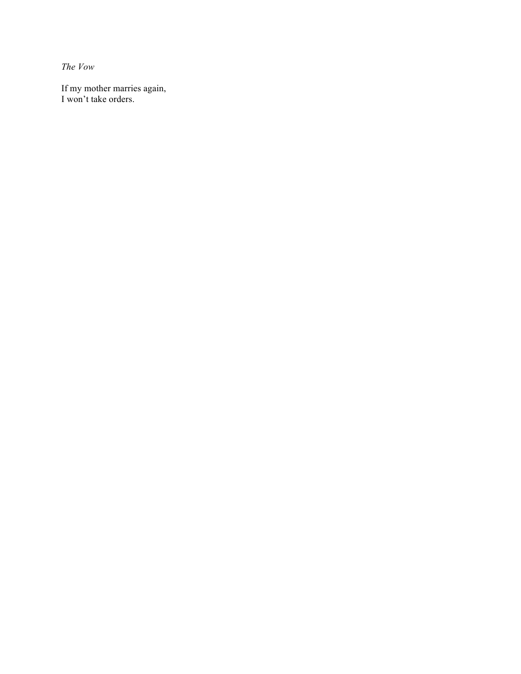*The Vow*

If my mother marries again, I won't take orders.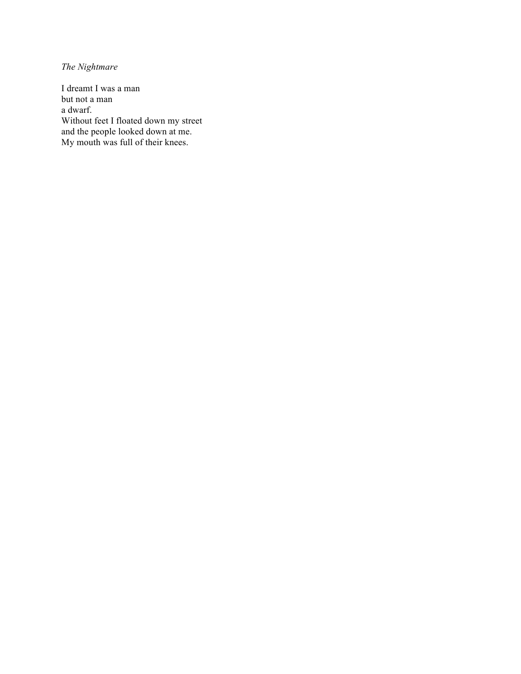*The Nightmare*

I dreamt I was a man but not a man a dwarf. Without feet I floated down my street and the people looked down at me. My mouth was full of their knees.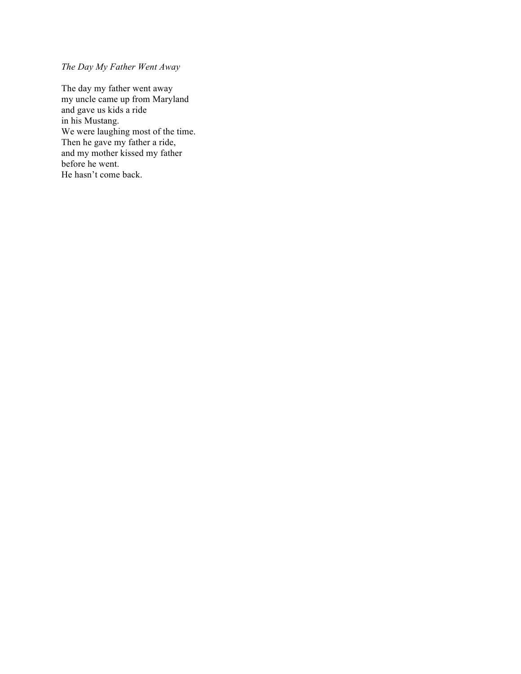## *The Day My Father Went Away*

The day my father went away my uncle came up from Maryland and gave us kids a ride in his Mustang. We were laughing most of the time. Then he gave my father a ride, and my mother kissed my father before he went. He hasn't come back.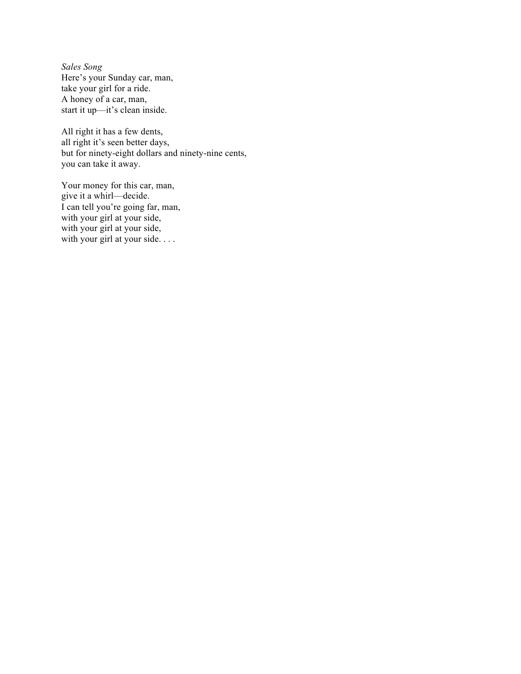*Sales Song* Here's your Sunday car, man, take your girl for a ride. A honey of a car, man, start it up—it's clean inside.

All right it has a few dents, all right it's seen better days, but for ninety-eight dollars and ninety-nine cents, you can take it away.

Your money for this car, man, give it a whirl—decide. I can tell you're going far, man, with your girl at your side, with your girl at your side, with your girl at your side. . . .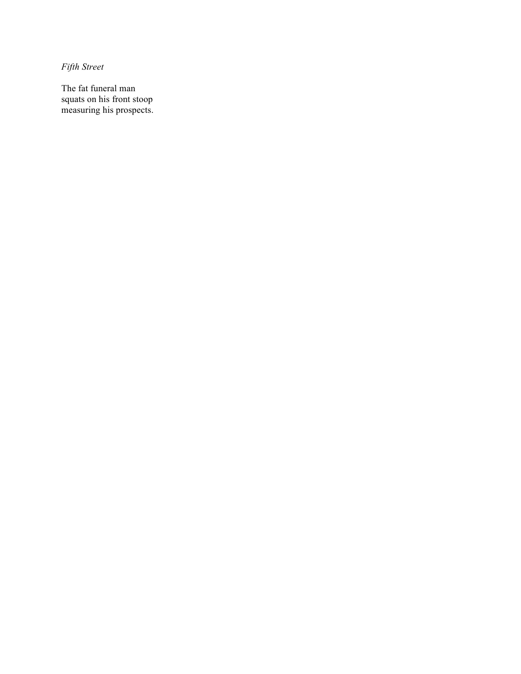*Fifth Street*

The fat funeral man squats on his front stoop measuring his prospects.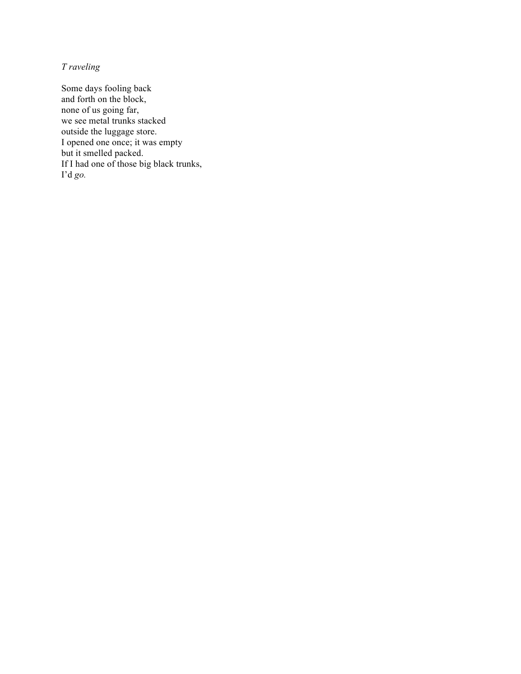# *T raveling*

Some days fooling back and forth on the block, none of us going far, we see metal trunks stacked outside the luggage store. I opened one once; it was empty but it smelled packed. If I had one of those big black trunks, I'd *go.*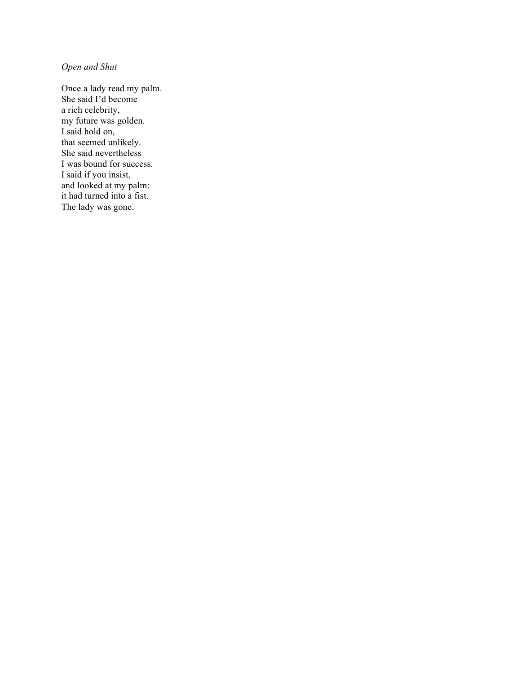## *Open and Shut*

Once a lady read my palm. She said I'd become a rich celebrity, my future was golden. I said hold on, that seemed unlikely. She said nevertheless I was bound for success. I said if you insist, and looked at my palm: it had turned into a fist. The lady was gone.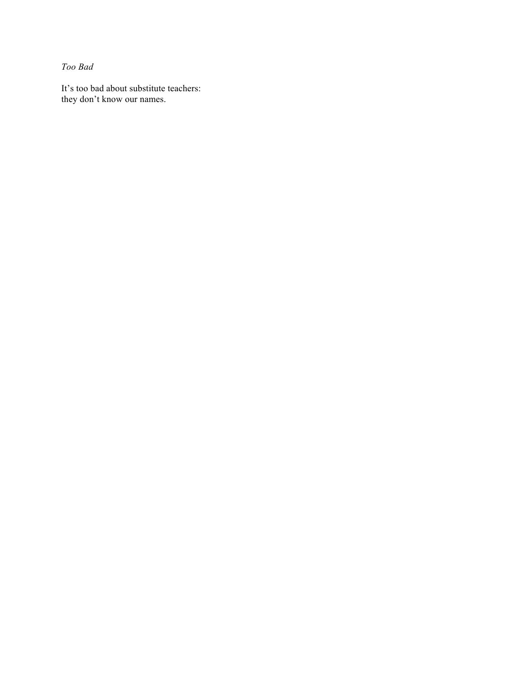*Too Bad*

It's too bad about substitute teachers: they don't know our names.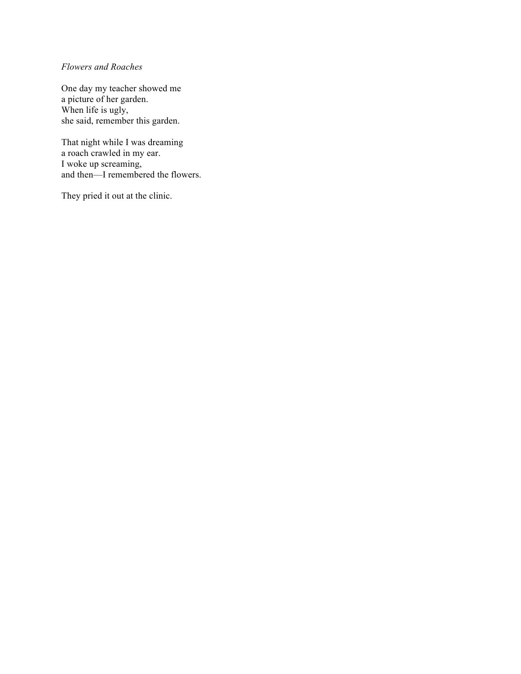### *Flowers and Roaches*

One day my teacher showed me a picture of her garden. When life is ugly, she said, remember this garden.

That night while I was dreaming a roach crawled in my ear. I woke up screaming, and then—I remembered the flowers.

They pried it out at the clinic.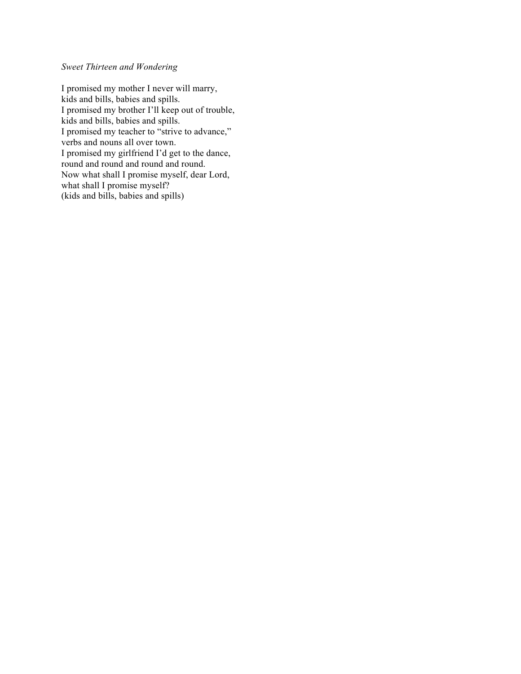# *Sweet Thirteen and Wondering*

I promised my mother I never will marry, kids and bills, babies and spills. I promised my brother I'll keep out of trouble, kids and bills, babies and spills. I promised my teacher to "strive to advance," verbs and nouns all over town. I promised my girlfriend I'd get to the dance, round and round and round. Now what shall I promise myself, dear Lord, what shall I promise myself? (kids and bills, babies and spills)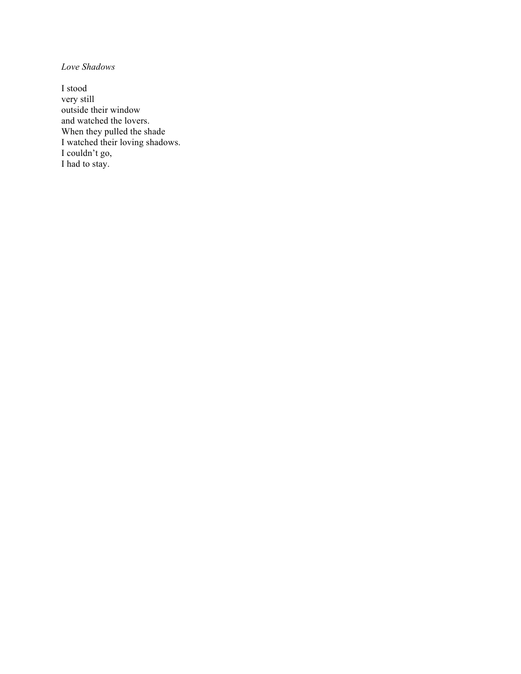*Love Shadows*

I stood very still outside their window and watched the lovers. When they pulled the shade I watched their loving shadows. I couldn't go, I had to stay.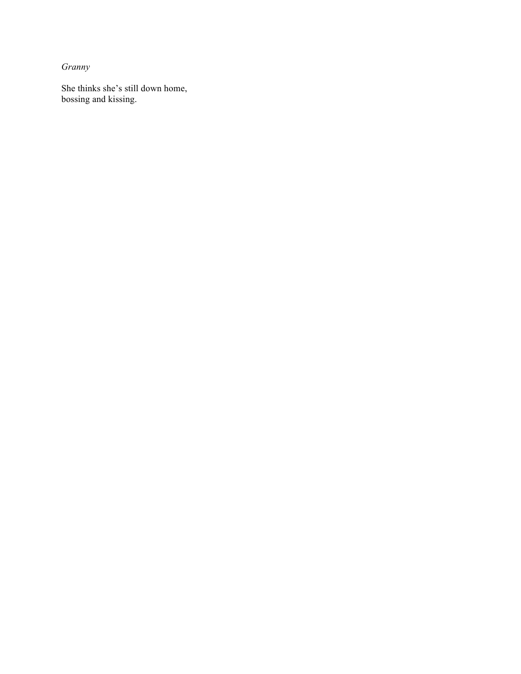*Granny*

She thinks she's still down home, bossing and kissing.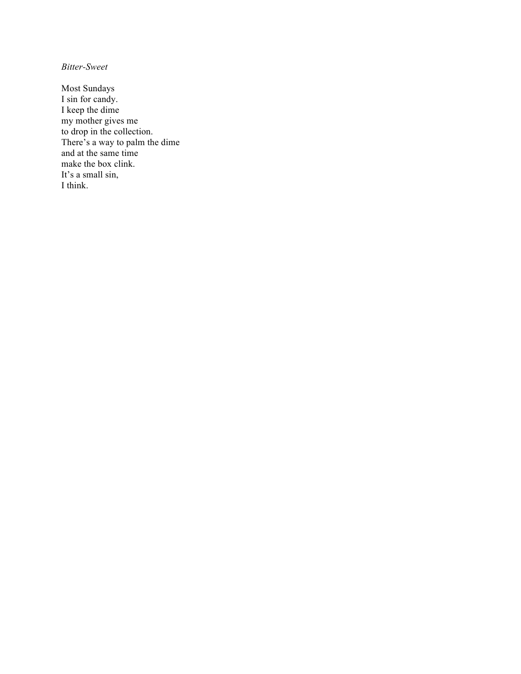*Bitter-Sweet*

Most Sundays I sin for candy. I keep the dime my mother gives me to drop in the collection. There's a way to palm the dime and at the same time make the box clink. It's a small sin, I think.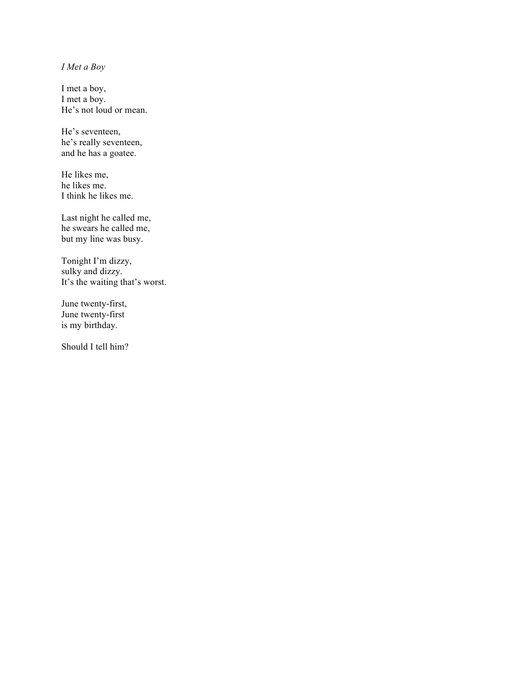## *I Met a Boy*

I met a boy, I met a boy. He's not loud or mean.

He's seventeen, he's really seventeen, and he has a goatee.

He likes me, he likes me. I think he likes me.

Last night he called me, he swears he called me, but my line was busy.

Tonight I'm dizzy, sulky and dizzy. It's the waiting that's worst.

June twenty-first, June twenty-first is my birthday.

Should I tell him?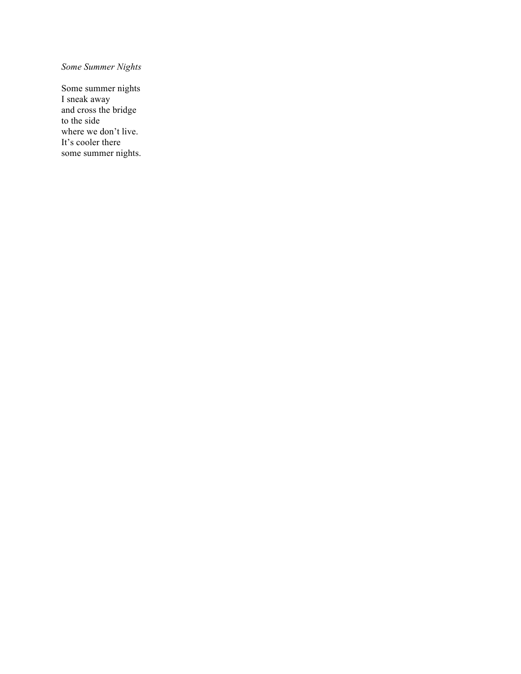# *Some Summer Nights*

Some summer nights I sneak away and cross the bridge to the side where we don't live. It's cooler there some summer nights.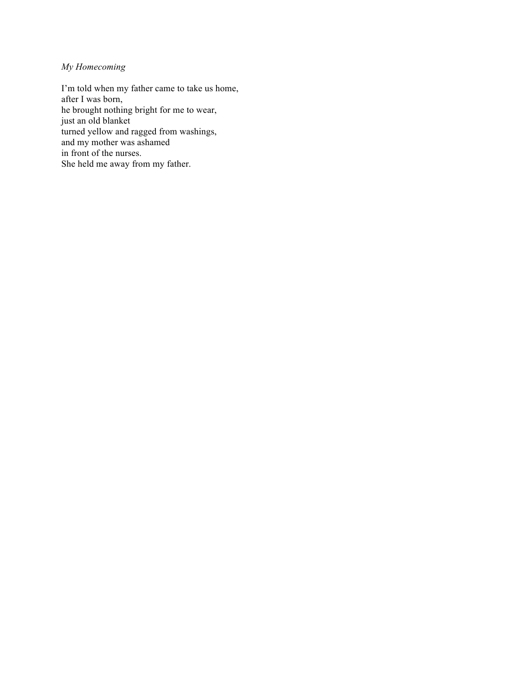## *My Homecoming*

I'm told when my father came to take us home, after I was born, he brought nothing bright for me to wear, just an old blanket turned yellow and ragged from washings, and my mother was ashamed in front of the nurses. She held me away from my father.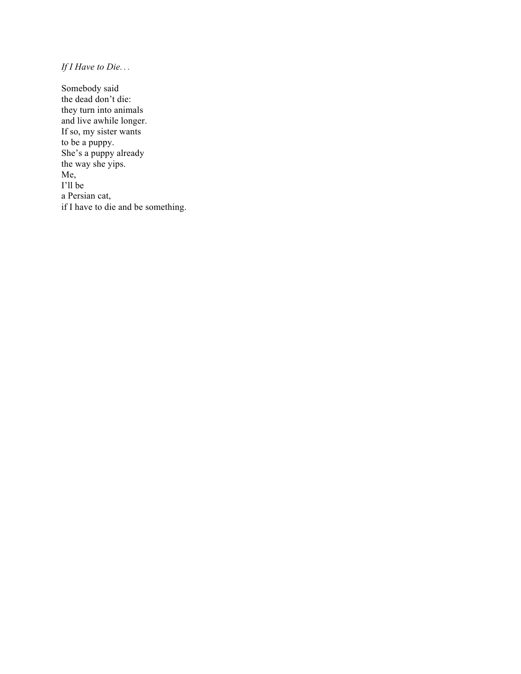*If I Have to Die*. . .

Somebody said the dead don't die: they turn into animals and live awhile longer. If so, my sister wants to be a puppy. She's a puppy already the way she yips. Me, I'll be a Persian cat, if I have to die and be something.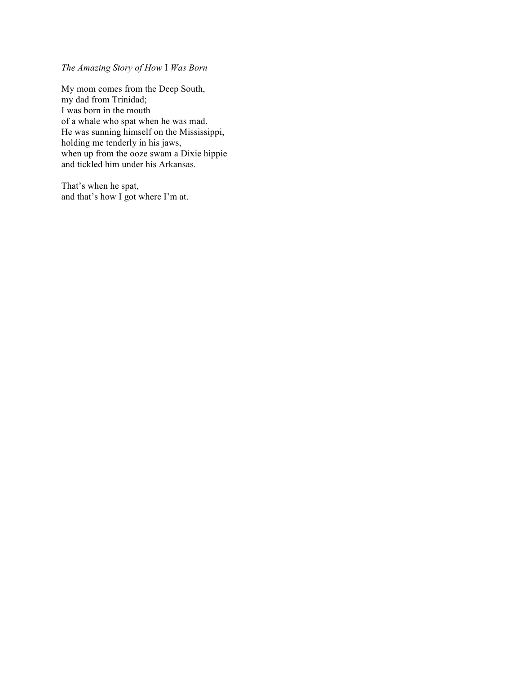*The Amazing Story of How* I *Was Born*

My mom comes from the Deep South, my dad from Trinidad; I was born in the mouth of a whale who spat when he was mad. He was sunning himself on the Mississippi, holding me tenderly in his jaws, when up from the ooze swam a Dixie hippie and tickled him under his Arkansas.

That's when he spat, and that's how I got where I'm at.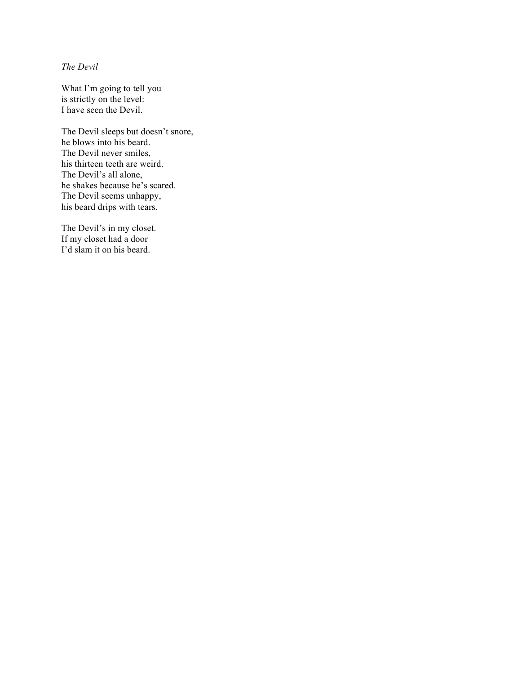*The Devil*

What I'm going to tell you is strictly on the level: I have seen the Devil.

The Devil sleeps but doesn't snore, he blows into his beard. The Devil never smiles, his thirteen teeth are weird. The Devil's all alone, he shakes because he's scared. The Devil seems unhappy, his beard drips with tears.

The Devil's in my closet. If my closet had a door I'd slam it on his beard.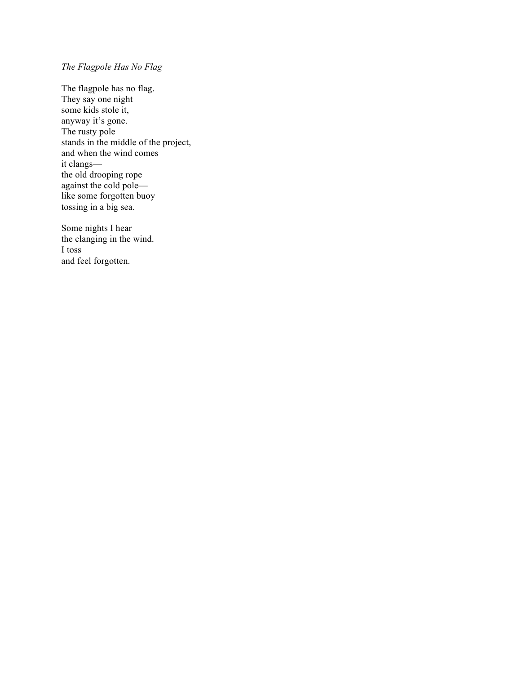## *The Flagpole Has No Flag*

The flagpole has no flag. They say one night some kids stole it, anyway it's gone. The rusty pole stands in the middle of the project, and when the wind comes it clangs the old drooping rope against the cold pole like some forgotten buoy tossing in a big sea.

Some nights I hear the clanging in the wind. I toss and feel forgotten.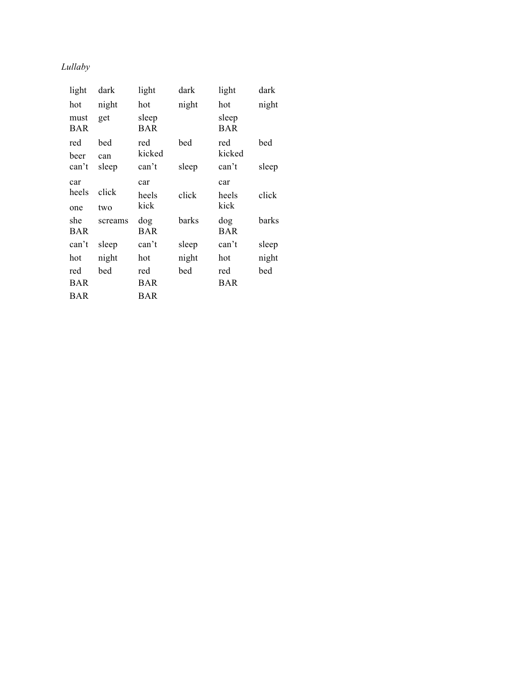# *Lullaby*

| light             | dark         | light             | dark  | light             | dark  |
|-------------------|--------------|-------------------|-------|-------------------|-------|
| hot<br>must       | night<br>get | hot<br>sleep      | night | hot<br>sleep      | night |
| <b>BAR</b>        |              | BAR               |       | BAR               |       |
| red<br>beer       | bed<br>can   | red<br>kicked     | bed   | red<br>kicked     | bed   |
| can't             | sleep        | can't             | sleep | can't             | sleep |
| car               |              | car               |       | car               |       |
| heels             | click        | heels             | click | heels             | click |
| one               | two          | kick              |       | kick              |       |
| she<br><b>BAR</b> | screams      | dog<br><b>BAR</b> | barks | dog<br><b>BAR</b> | barks |
| can't             | sleep        | can't             | sleep | can't             | sleep |
| hot               | night        | hot               | night | hot               | night |
| red               | bed          | red               | bed   | red               | bed   |
| BAR               |              | BAR               |       | BAR               |       |
| BAR               |              | BAR               |       |                   |       |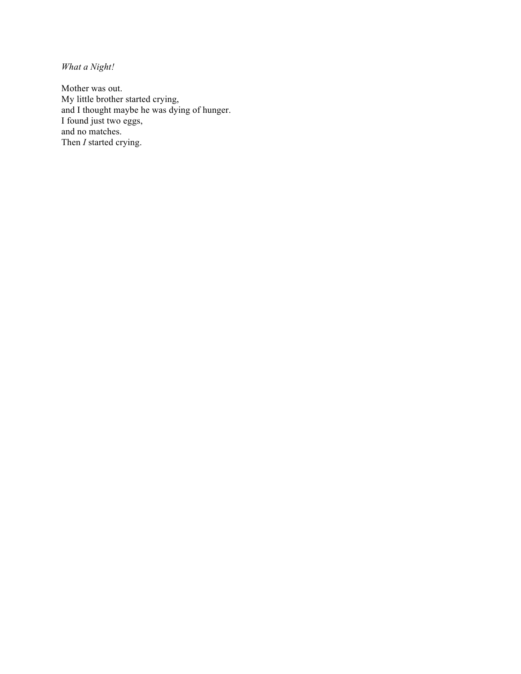*What a Night!*

Mother was out. My little brother started crying, and I thought maybe he was dying of hunger. I found just two eggs, and no matches. Then *I* started crying.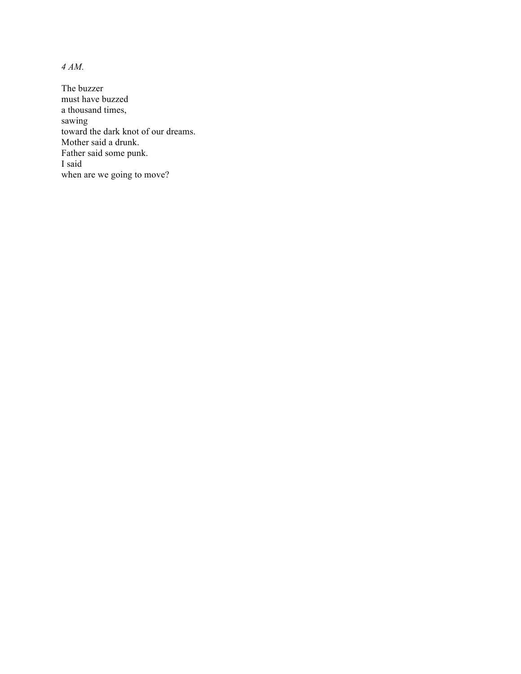*4 AM.*

The buzzer must have buzzed a thousand times, sawing toward the dark knot of our dreams. Mother said a drunk. Father said some punk. I said when are we going to move?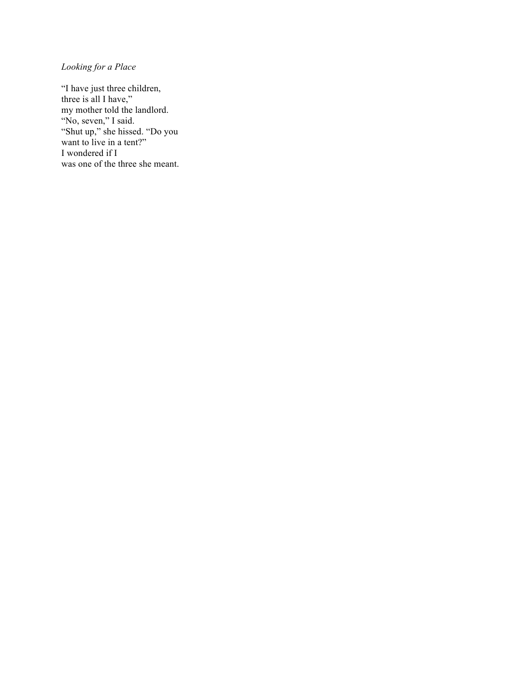# *Looking for a Place*

"I have just three children, three is all I have," my mother told the landlord. "No, seven," I said. "Shut up," she hissed. "Do you want to live in a tent?" I wondered if I was one of the three she meant.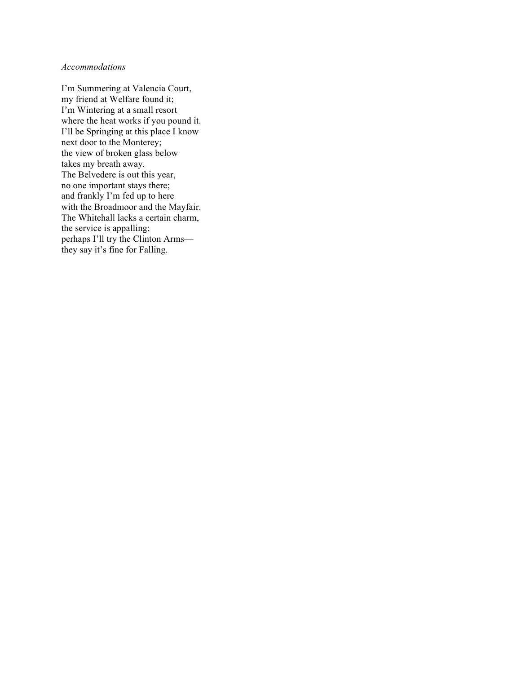#### *Accommodations*

I'm Summering at Valencia Court, my friend at Welfare found it; I'm Wintering at a small resort where the heat works if you pound it. I'll be Springing at this place I know next door to the Monterey; the view of broken glass below takes my breath away. The Belvedere is out this year, no one important stays there; and frankly I'm fed up to here with the Broadmoor and the Mayfair. The Whitehall lacks a certain charm, the service is appalling; perhaps I'll try the Clinton Arms they say it's fine for Falling.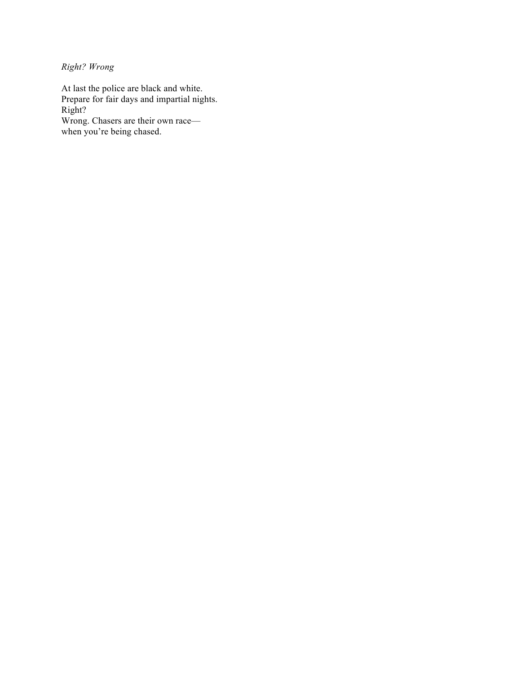*Right? Wrong*

At last the police are black and white. Prepare for fair days and impartial nights. Right? Wrong. Chasers are their own race when you're being chased.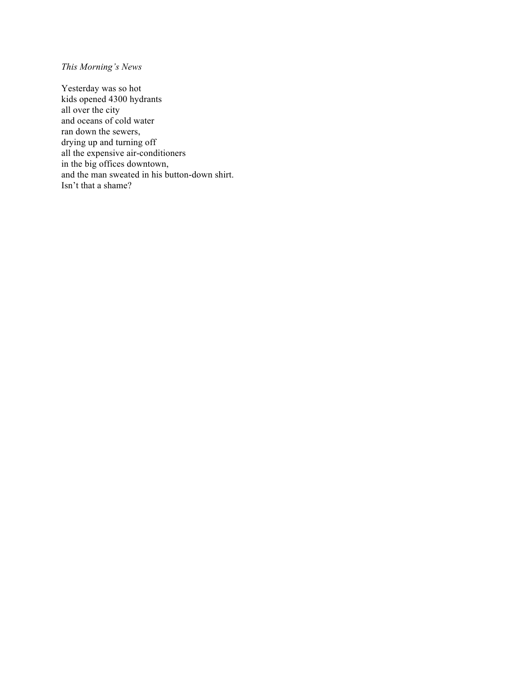## *This Morning's News*

Yesterday was so hot kids opened 4300 hydrants all over the city and oceans of cold water ran down the sewers, drying up and turning off all the expensive air-conditioners in the big offices downtown, and the man sweated in his button-down shirt. Isn't that a shame?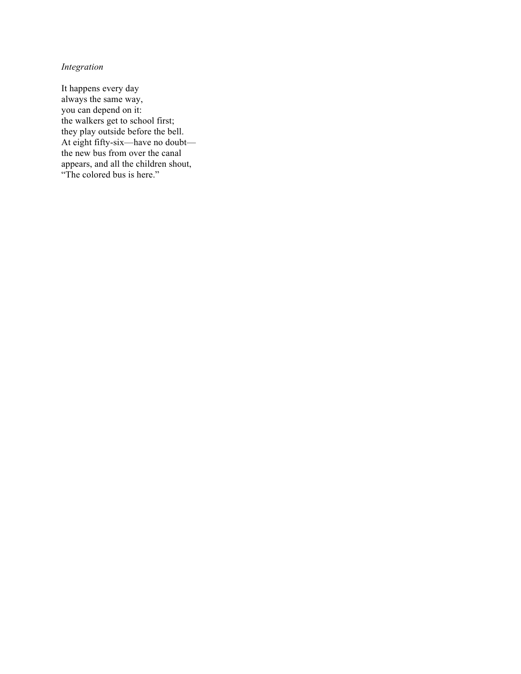## *Integration*

It happens every day always the same way, you can depend on it: the walkers get to school first; they play outside before the bell. At eight fifty-six—have no doubt the new bus from over the canal appears, and all the children shout, "The colored bus is here."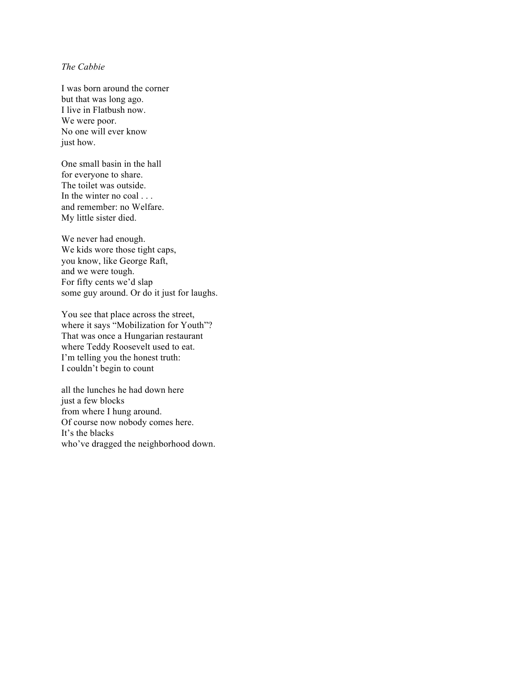#### *The Cabbie*

I was born around the corner but that was long ago. I live in Flatbush now. We were poor. No one will ever know just how.

One small basin in the hall for everyone to share. The toilet was outside. In the winter no coal ... and remember: no Welfare. My little sister died.

We never had enough. We kids wore those tight caps, you know, like George Raft, and we were tough. For fifty cents we'd slap some guy around. Or do it just for laughs.

You see that place across the street, where it says "Mobilization for Youth"? That was once a Hungarian restaurant where Teddy Roosevelt used to eat. I'm telling you the honest truth: I couldn't begin to count

all the lunches he had down here just a few blocks from where I hung around. Of course now nobody comes here. It's the blacks who've dragged the neighborhood down.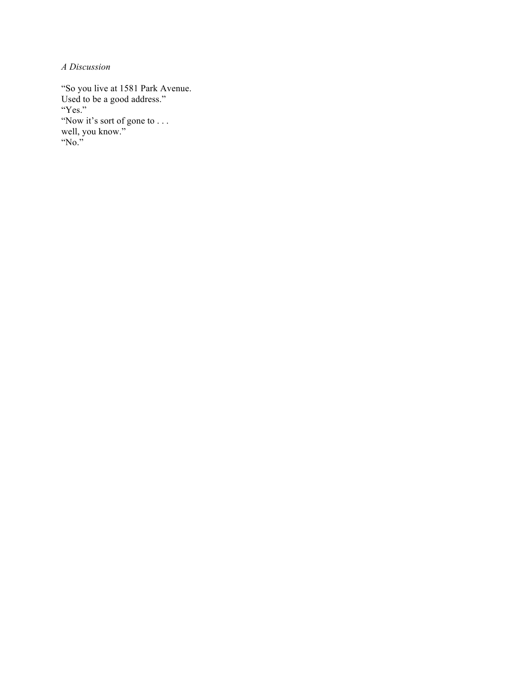*A Discussion*

"So you live at 1581 Park Avenue. Used to be a good address." "Yes." "Now it's sort of gone to . . . well, you know." "No."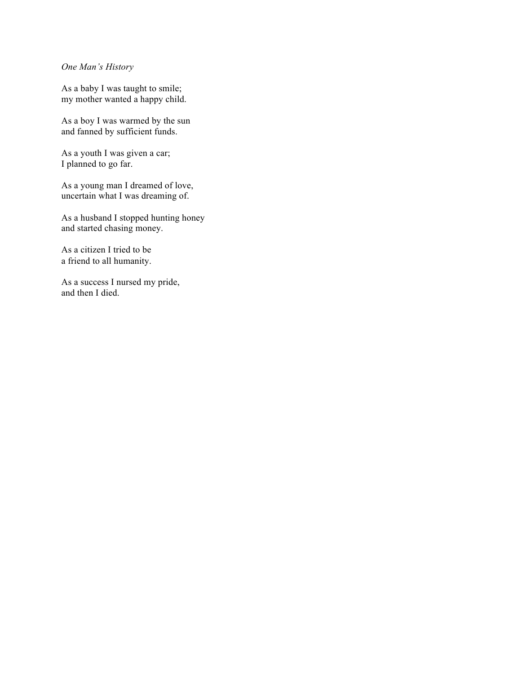*One Man's History*

As a baby I was taught to smile; my mother wanted a happy child.

As a boy I was warmed by the sun and fanned by sufficient funds.

As a youth I was given a car; I planned to go far.

As a young man I dreamed of love, uncertain what I was dreaming of.

As a husband I stopped hunting honey and started chasing money.

As a citizen I tried to be a friend to all humanity.

As a success I nursed my pride, and then I died.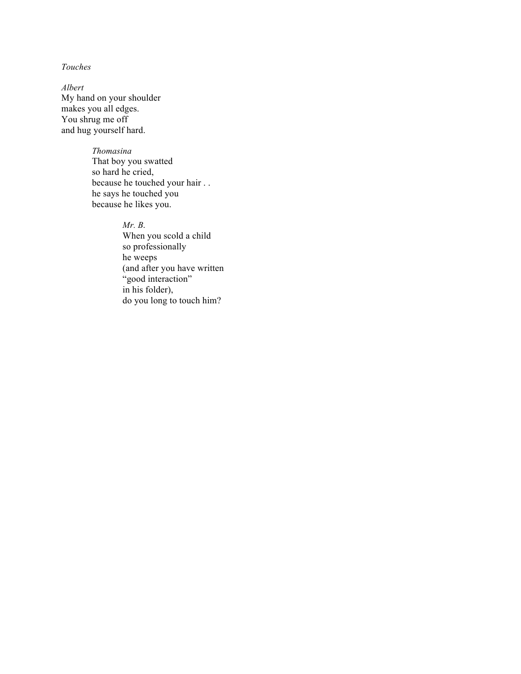### *Touches*

*Albert* My hand on your shoulder makes you all edges. You shrug me off and hug yourself hard.

### *Thomasina*

That boy you swatted so hard he cried, because he touched your hair . . he says he touched you because he likes you.

### *Mr. B***.**

When you scold a child so professionally he weeps (and after you have written "good interaction" in his folder), do you long to touch him?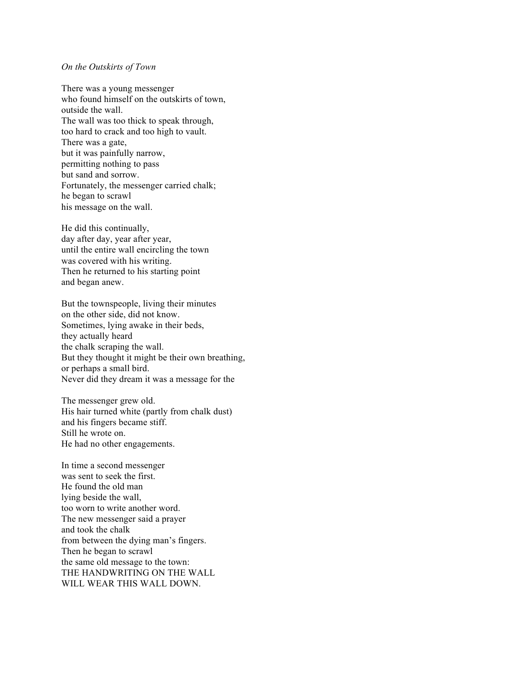#### *On the Outskirts of Town*

There was a young messenger who found himself on the outskirts of town, outside the wall. The wall was too thick to speak through, too hard to crack and too high to vault. There was a gate, but it was painfully narrow, permitting nothing to pass but sand and sorrow. Fortunately, the messenger carried chalk; he began to scrawl his message on the wall.

He did this continually, day after day, year after year, until the entire wall encircling the town was covered with his writing. Then he returned to his starting point and began anew.

But the townspeople, living their minutes on the other side, did not know. Sometimes, lying awake in their beds, they actually heard the chalk scraping the wall. But they thought it might be their own breathing, or perhaps a small bird. Never did they dream it was a message for the

The messenger grew old. His hair turned white (partly from chalk dust) and his fingers became stiff. Still he wrote on. He had no other engagements.

In time a second messenger was sent to seek the first. He found the old man lying beside the wall, too worn to write another word. The new messenger said a prayer and took the chalk from between the dying man's fingers. Then he began to scrawl the same old message to the town: THE HANDWRITING ON THE WALL WILL WEAR THIS WALL DOWN.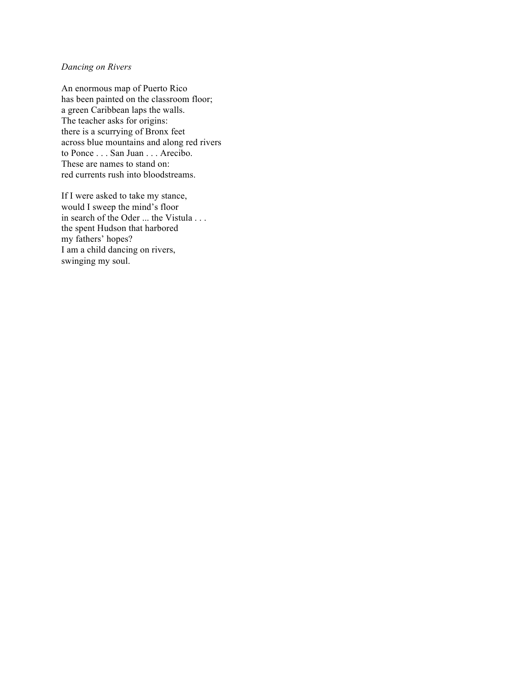#### *Dancing on Rivers*

An enormous map of Puerto Rico has been painted on the classroom floor; a green Caribbean laps the walls. The teacher asks for origins: there is a scurrying of Bronx feet across blue mountains and along red rivers to Ponce . . . San Juan . . . Arecibo. These are names to stand on: red currents rush into bloodstreams.

If I were asked to take my stance, would I sweep the mind's floor in search of the Oder ... the Vistula . . . the spent Hudson that harbored my fathers' hopes? I am a child dancing on rivers, swinging my soul.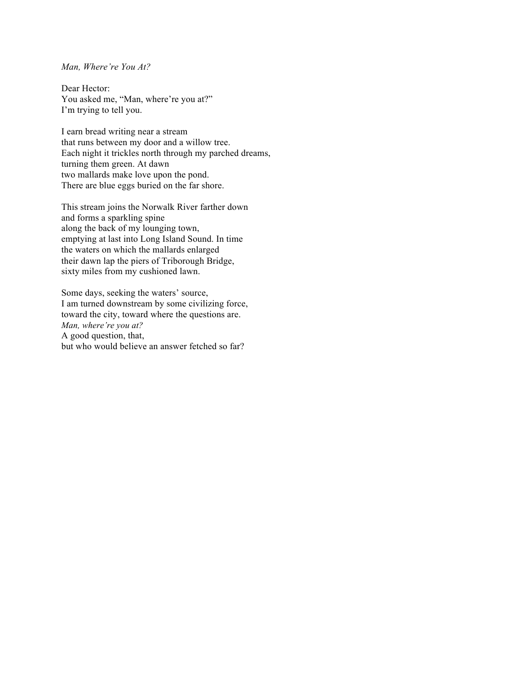#### *Man, Where're You At?*

Dear Hector: You asked me, "Man, where're you at?" I'm trying to tell you.

I earn bread writing near a stream that runs between my door and a willow tree. Each night it trickles north through my parched dreams, turning them green. At dawn two mallards make love upon the pond. There are blue eggs buried on the far shore.

This stream joins the Norwalk River farther down and forms a sparkling spine along the back of my lounging town, emptying at last into Long Island Sound. In time the waters on which the mallards enlarged their dawn lap the piers of Triborough Bridge, sixty miles from my cushioned lawn.

Some days, seeking the waters' source, I am turned downstream by some civilizing force, toward the city, toward where the questions are. *Man, where're you at?* A good question, that, but who would believe an answer fetched so far?